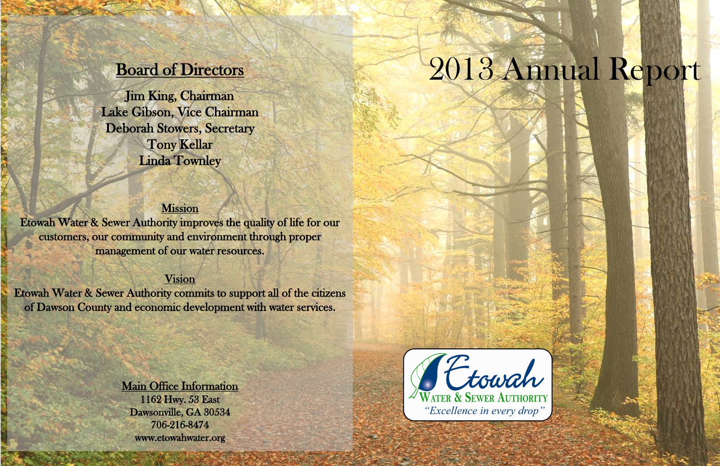# 2013 Annual Report

# Board of Directors

Jim King, Chairman Lake Gibson, Vice Chairman Deborah Stowers, Secretary Tony Kellar Linda Townley

# **Mission**

id<br>S

**CASE** 

Etowah Water & Sewer Authority improves the quality of life for our customers, our community and environment through proper management of our water resources.

# Vision

Etowah Water & Sewer Authority commits to support all of the citizens of Dawson County and economic development with water services.

**Read** 

## Main Office Information

**Contract** 

1162 Hwy. 53 East Dawsonville, GA 30534 706-216-8474 www.etowahwater.org